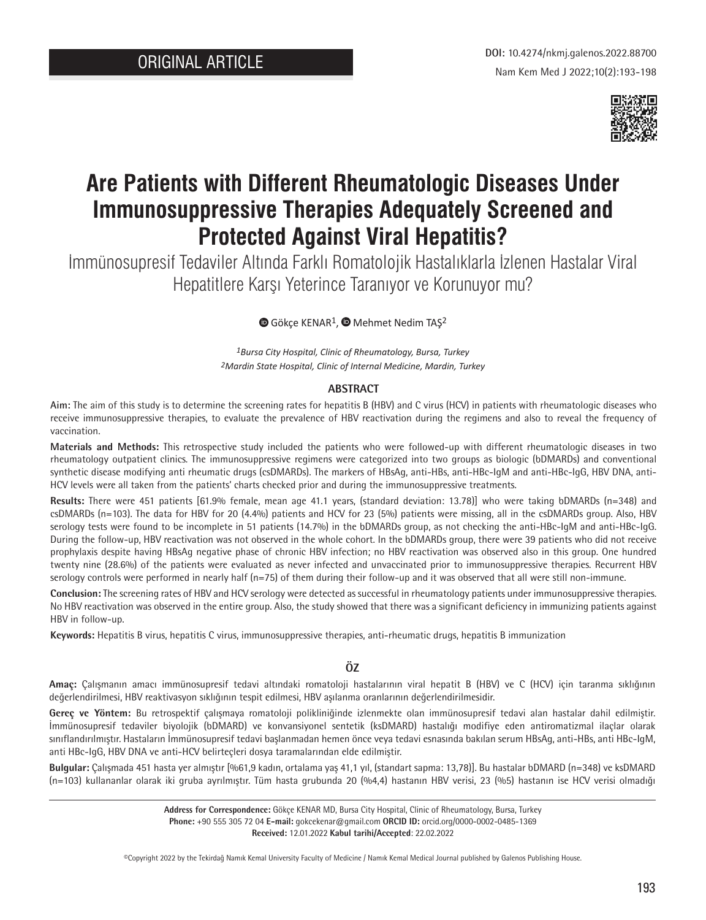

# **Are Patients with Different Rheumatologic Diseases Under Immunosuppressive Therapies Adequately Screened and Protected Against Viral Hepatitis?**

İmmünosupresif Tedaviler Altında Farklı Romatolojik Hastalıklarla İzlenen Hastalar Viral Hepatitlere Karşı Yeterince Taranıyor ve Korunuyor mu?

GökçeKENAR<sup>1</sup>, @ Mehmet Nedim TAŞ<sup>2</sup>

*1Bursa City Hospital, Clinic of Rheumatology, Bursa, Turkey 2Mardin State Hospital, Clinic of Internal Medicine, Mardin, Turkey*

#### **ABSTRACT**

**Aim:** The aim of this study is to determine the screening rates for hepatitis B (HBV) and C virus (HCV) in patients with rheumatologic diseases who receive immunosuppressive therapies, to evaluate the prevalence of HBV reactivation during the regimens and also to reveal the frequency of vaccination.

**Materials and Methods:** This retrospective study included the patients who were followed-up with different rheumatologic diseases in two rheumatology outpatient clinics. The immunosuppressive regimens were categorized into two groups as biologic (bDMARDs) and conventional synthetic disease modifying anti rheumatic drugs (csDMARDs). The markers of HBsAg, anti-HBs, anti-HBc-IgM and anti-HBc-IgG, HBV DNA, anti-HCV levels were all taken from the patients' charts checked prior and during the immunosuppressive treatments.

**Results:** There were 451 patients [61.9% female, mean age 41.1 years, (standard deviation: 13.78)] who were taking bDMARDs (n=348) and csDMARDs (n=103). The data for HBV for 20 (4.4%) patients and HCV for 23 (5%) patients were missing, all in the csDMARDs group. Also, HBV serology tests were found to be incomplete in 51 patients (14.7%) in the bDMARDs group, as not checking the anti-HBc-IgM and anti-HBc-IgG. During the follow-up, HBV reactivation was not observed in the whole cohort. In the bDMARDs group, there were 39 patients who did not receive prophylaxis despite having HBsAg negative phase of chronic HBV infection; no HBV reactivation was observed also in this group. One hundred twenty nine (28.6%) of the patients were evaluated as never infected and unvaccinated prior to immunosuppressive therapies. Recurrent HBV serology controls were performed in nearly half (n=75) of them during their follow-up and it was observed that all were still non-immune.

**Conclusion:** The screening rates of HBV and HCV serology were detected as successful in rheumatology patients under immunosuppressive therapies. No HBV reactivation was observed in the entire group. Also, the study showed that there was a significant deficiency in immunizing patients against HBV in follow-up.

**Keywords:** Hepatitis B virus, hepatitis C virus, immunosuppressive therapies, anti-rheumatic drugs, hepatitis B immunization

## **ÖZ**

**Amaç:** Çalışmanın amacı immünosupresif tedavi altındaki romatoloji hastalarının viral hepatit B (HBV) ve C (HCV) için taranma sıklığının değerlendirilmesi, HBV reaktivasyon sıklığının tespit edilmesi, HBV aşılanma oranlarının değerlendirilmesidir.

**Gereç ve Yöntem:** Bu retrospektif çalışmaya romatoloji polikliniğinde izlenmekte olan immünosupresif tedavi alan hastalar dahil edilmiştir. İmmünosupresif tedaviler biyolojik (bDMARD) ve konvansiyonel sentetik (ksDMARD) hastalığı modifiye eden antiromatizmal ilaçlar olarak sınıflandırılmıştır. Hastaların İmmünosupresif tedavi başlanmadan hemen önce veya tedavi esnasında bakılan serum HBsAg, anti-HBs, anti HBc-IgM, anti HBc-IgG, HBV DNA ve anti-HCV belirteçleri dosya taramalarından elde edilmiştir.

**Bulgular:** Çalışmada 451 hasta yer almıştır [%61,9 kadın, ortalama yaş 41,1 yıl, (standart sapma: 13,78)]. Bu hastalar bDMARD (n=348) ve ksDMARD (n=103) kullananlar olarak iki gruba ayrılmıştır. Tüm hasta grubunda 20 (%4,4) hastanın HBV verisi, 23 (%5) hastanın ise HCV verisi olmadığı

> **Address for Correspondence:** Gökçe KENAR MD, Bursa City Hospital, Clinic of Rheumatology, Bursa, Turkey **Phone:** +90 555 305 72 04 **E-mail:** gokcekenar@gmail.com **ORCID ID:** orcid.org/0000-0002-0485-1369 **Received:** 12.01.2022 **Kabul tarihi/Accepted**: 22.02.2022

©Copyright 2022 by the Tekirdağ Namık Kemal University Faculty of Medicine / Namık Kemal Medical Journal published by Galenos Publishing House.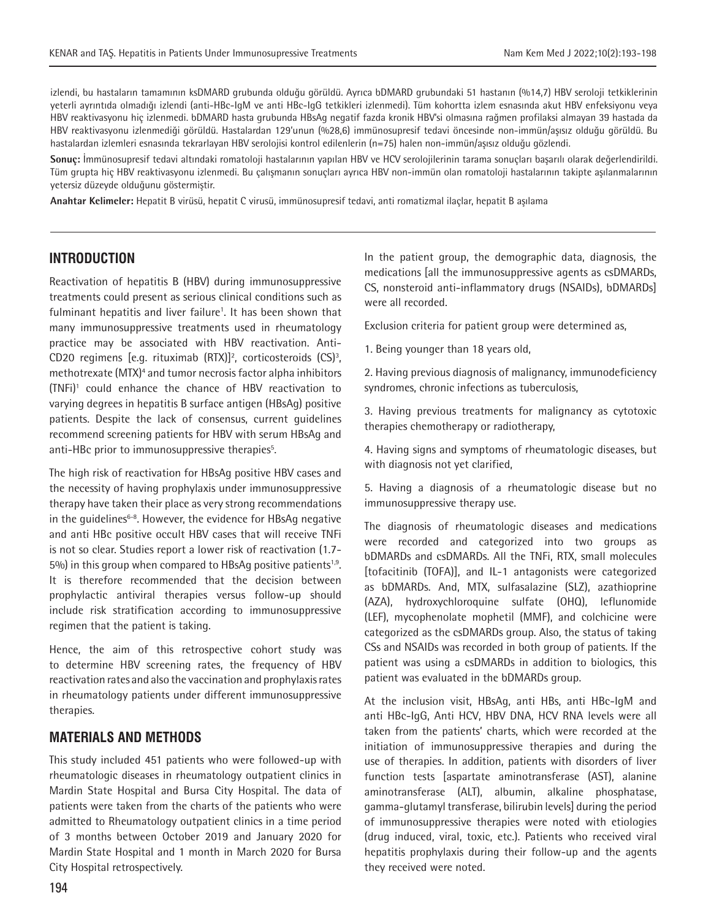izlendi, bu hastaların tamamının ksDMARD grubunda olduğu görüldü. Ayrıca bDMARD grubundaki 51 hastanın (%14,7) HBV seroloji tetkiklerinin yeterli ayrıntıda olmadığı izlendi (anti-HBc-IgM ve anti HBc-IgG tetkikleri izlenmedi). Tüm kohortta izlem esnasında akut HBV enfeksiyonu veya HBV reaktivasyonu hiç izlenmedi. bDMARD hasta grubunda HBsAg negatif fazda kronik HBV'si olmasına rağmen profilaksi almayan 39 hastada da HBV reaktivasyonu izlenmediği görüldü. Hastalardan 129'unun (%28,6) immünosupresif tedavi öncesinde non-immün/aşısız olduğu görüldü. Bu hastalardan izlemleri esnasında tekrarlayan HBV serolojisi kontrol edilenlerin (n=75) halen non-immün/aşısız olduğu gözlendi.

**Sonuç:** İmmünosupresif tedavi altındaki romatoloji hastalarının yapılan HBV ve HCV serolojilerinin tarama sonuçları başarılı olarak değerlendirildi. Tüm grupta hiç HBV reaktivasyonu izlenmedi. Bu çalışmanın sonuçları ayrıca HBV non-immün olan romatoloji hastalarının takipte aşılanmalarının yetersiz düzeyde olduğunu göstermiştir.

**Anahtar Kelimeler:** Hepatit B virüsü, hepatit C virusü, immünosupresif tedavi, anti romatizmal ilaçlar, hepatit B aşılama

## **INTRODUCTION**

Reactivation of hepatitis B (HBV) during immunosuppressive treatments could present as serious clinical conditions such as fulminant hepatitis and liver failure<sup>1</sup>. It has been shown that many immunosuppressive treatments used in rheumatology practice may be associated with HBV reactivation. Anti-CD20 regimens [e.g. rituximab  $(RTX)]^2$ , corticosteroids  $(CS)^3$ , methotrexate (MTX)<sup>4</sup> and tumor necrosis factor alpha inhibitors (TNFi)1 could enhance the chance of HBV reactivation to varying degrees in hepatitis B surface antigen (HBsAg) positive patients. Despite the lack of consensus, current guidelines recommend screening patients for HBV with serum HBsAg and anti-HBc prior to immunosuppressive therapies<sup>5</sup>.

The high risk of reactivation for HBsAg positive HBV cases and the necessity of having prophylaxis under immunosuppressive therapy have taken their place as very strong recommendations in the quidelines<sup>6-8</sup>. However, the evidence for HBsAg negative and anti HBc positive occult HBV cases that will receive TNFi is not so clear. Studies report a lower risk of reactivation (1.7- 5%) in this group when compared to HBsAg positive patients<sup>1,9</sup>. It is therefore recommended that the decision between prophylactic antiviral therapies versus follow-up should include risk stratification according to immunosuppressive regimen that the patient is taking.

Hence, the aim of this retrospective cohort study was to determine HBV screening rates, the frequency of HBV reactivation rates and also the vaccination and prophylaxis rates in rheumatology patients under different immunosuppressive therapies.

## **MATERIALS AND METHODS**

This study included 451 patients who were followed-up with rheumatologic diseases in rheumatology outpatient clinics in Mardin State Hospital and Bursa City Hospital. The data of patients were taken from the charts of the patients who were admitted to Rheumatology outpatient clinics in a time period of 3 months between October 2019 and January 2020 for Mardin State Hospital and 1 month in March 2020 for Bursa City Hospital retrospectively.

In the patient group, the demographic data, diagnosis, the medications [all the immunosuppressive agents as csDMARDs, CS, nonsteroid anti-inflammatory drugs (NSAIDs), bDMARDs] were all recorded.

Exclusion criteria for patient group were determined as,

1. Being younger than 18 years old,

2. Having previous diagnosis of malignancy, immunodeficiency syndromes, chronic infections as tuberculosis,

3. Having previous treatments for malignancy as cytotoxic therapies chemotherapy or radiotherapy,

4. Having signs and symptoms of rheumatologic diseases, but with diagnosis not yet clarified,

5. Having a diagnosis of a rheumatologic disease but no immunosuppressive therapy use.

The diagnosis of rheumatologic diseases and medications were recorded and categorized into two groups as bDMARDs and csDMARDs. All the TNFi, RTX, small molecules [tofacitinib (TOFA)], and IL-1 antagonists were categorized as bDMARDs. And, MTX, sulfasalazine (SLZ), azathioprine (AZA), hydroxychloroquine sulfate (OHQ), leflunomide (LEF), mycophenolate mophetil (MMF), and colchicine were categorized as the csDMARDs group. Also, the status of taking CSs and NSAIDs was recorded in both group of patients. If the patient was using a csDMARDs in addition to biologics, this patient was evaluated in the bDMARDs group.

At the inclusion visit, HBsAg, anti HBs, anti HBc-IgM and anti HBc-IgG, Anti HCV, HBV DNA, HCV RNA levels were all taken from the patients' charts, which were recorded at the initiation of immunosuppressive therapies and during the use of therapies. In addition, patients with disorders of liver function tests [aspartate aminotransferase (AST), alanine aminotransferase (ALT), albumin, alkaline phosphatase, gamma-glutamyl transferase, bilirubin levels] during the period of immunosuppressive therapies were noted with etiologies (drug induced, viral, toxic, etc.). Patients who received viral hepatitis prophylaxis during their follow-up and the agents they received were noted.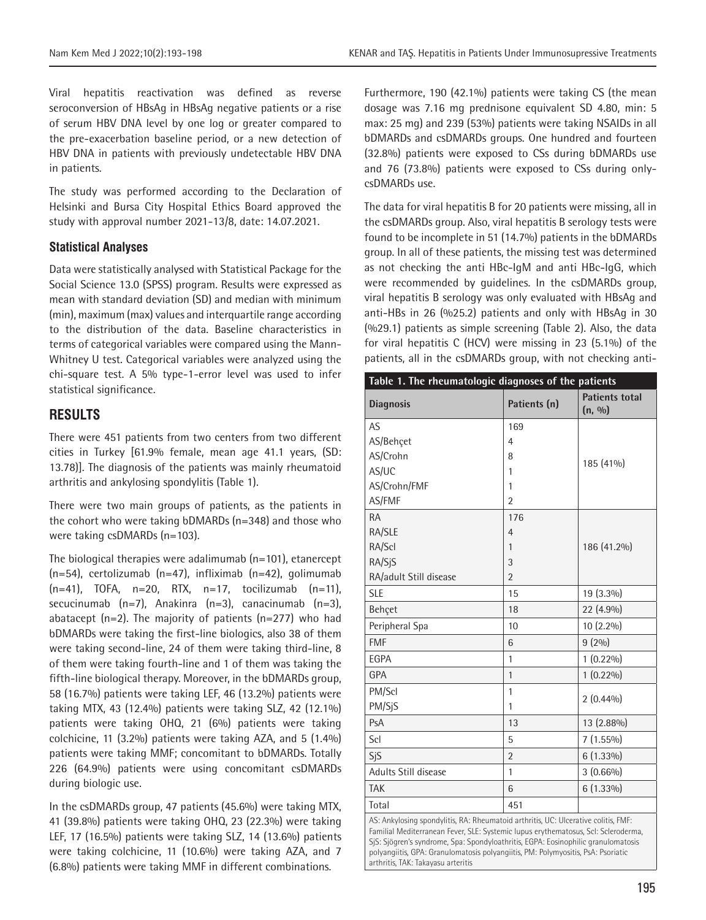Viral hepatitis reactivation was defined as reverse seroconversion of HBsAg in HBsAg negative patients or a rise of serum HBV DNA level by one log or greater compared to the pre-exacerbation baseline period, or a new detection of HBV DNA in patients with previously undetectable HBV DNA in patients.

The study was performed according to the Declaration of Helsinki and Bursa City Hospital Ethics Board approved the study with approval number 2021-13/8, date: 14.07.2021.

#### **Statistical Analyses**

Data were statistically analysed with Statistical Package for the Social Science 13.0 (SPSS) program. Results were expressed as mean with standard deviation (SD) and median with minimum (min), maximum (max) values and interquartile range according to the distribution of the data. Baseline characteristics in terms of categorical variables were compared using the Mann-Whitney U test. Categorical variables were analyzed using the chi-square test. A 5% type-1-error level was used to infer statistical significance.

## **RESULTS**

There were 451 patients from two centers from two different cities in Turkey [61.9% female, mean age 41.1 years, (SD: 13.78)]. The diagnosis of the patients was mainly rheumatoid arthritis and ankylosing spondylitis (Table 1).

There were two main groups of patients, as the patients in the cohort who were taking bDMARDs (n=348) and those who were taking csDMARDs (n=103).

The biological therapies were adalimumab (n=101), etanercept (n=54), certolizumab (n=47), infliximab (n=42), golimumab  $(n=41)$ , TOFA,  $n=20$ , RTX,  $n=17$ , tocilizumab  $(n=11)$ , secucinumab (n=7), Anakinra (n=3), canacinumab (n=3), abatacept (n=2). The majority of patients (n=277) who had bDMARDs were taking the first-line biologics, also 38 of them were taking second-line, 24 of them were taking third-line, 8 of them were taking fourth-line and 1 of them was taking the fifth-line biological therapy. Moreover, in the bDMARDs group, 58 (16.7%) patients were taking LEF, 46 (13.2%) patients were taking MTX, 43 (12.4%) patients were taking SLZ, 42 (12.1%) patients were taking OHQ, 21 (6%) patients were taking colchicine, 11 (3.2%) patients were taking AZA, and 5 (1.4%) patients were taking MMF; concomitant to bDMARDs. Totally 226 (64.9%) patients were using concomitant csDMARDs during biologic use.

In the csDMARDs group, 47 patients (45.6%) were taking MTX, 41 (39.8%) patients were taking OHQ, 23 (22.3%) were taking LEF, 17 (16.5%) patients were taking SLZ, 14 (13.6%) patients were taking colchicine, 11 (10.6%) were taking AZA, and 7 (6.8%) patients were taking MMF in different combinations.

Furthermore, 190 (42.1%) patients were taking CS (the mean dosage was 7.16 mg prednisone equivalent SD 4.80, min: 5 max: 25 mg) and 239 (53%) patients were taking NSAIDs in all bDMARDs and csDMARDs groups. One hundred and fourteen (32.8%) patients were exposed to CSs during bDMARDs use and 76 (73.8%) patients were exposed to CSs during onlycsDMARDs use.

The data for viral hepatitis B for 20 patients were missing, all in the csDMARDs group. Also, viral hepatitis B serology tests were found to be incomplete in 51 (14.7%) patients in the bDMARDs group. In all of these patients, the missing test was determined as not checking the anti HBc-IgM and anti HBc-IgG, which were recommended by guidelines. In the csDMARDs group, viral hepatitis B serology was only evaluated with HBsAg and anti-HBs in 26 (%25.2) patients and only with HBsAg in 30 (%29.1) patients as simple screening (Table 2). Also, the data for viral hepatitis C (HCV) were missing in 23 (5.1%) of the patients, all in the csDMARDs group, with not checking anti-

| <b>Diagnosis</b>            | Patients (n)   | <b>Patients total</b><br>(n, 9/0) |
|-----------------------------|----------------|-----------------------------------|
| AS                          | 169            |                                   |
| AS/Behçet                   | $\overline{4}$ |                                   |
| AS/Crohn                    | 8              | 185 (41%)                         |
| AS/UC                       | 1              |                                   |
| AS/Crohn/FMF                | 1              |                                   |
| AS/FMF                      | $\overline{2}$ |                                   |
| <b>RA</b>                   | 176            |                                   |
| RA/SLE                      | $\overline{4}$ |                                   |
| RA/Scl                      | 1              | 186 (41.2%)                       |
| RA/SjS                      | 3              |                                   |
| RA/adult Still disease      | $\overline{2}$ |                                   |
| <b>SLE</b>                  | 15             | 19 (3.3%)                         |
| Behçet                      | 18             | 22 (4.9%)                         |
| Peripheral Spa              | 10             | 10 (2.2%)                         |
| <b>FMF</b>                  | 6              | 9(2%)                             |
| <b>EGPA</b>                 | 1              | $1(0.22\%)$                       |
| GPA                         | 1              | $1(0.22\%)$                       |
| PM/Scl                      | $\mathbf{1}$   |                                   |
| PM/SjS                      | 1              | $2(0.44\%)$                       |
| PsA                         | 13             | 13 (2.88%)                        |
| Scl                         | 5              | $7(1.55\%)$                       |
| SjS                         | $\overline{2}$ | $6(1.33\%)$                       |
| <b>Adults Still disease</b> | $\mathbf{1}$   | $3(0.66\%)$                       |
| <b>TAK</b>                  | 6              | $6(1.33\%)$                       |
| Total                       | 451            |                                   |

Familial Mediterranean Fever, SLE: Systemic lupus erythematosus, Scl: Scleroderma, SjS: Sjögren's syndrome, Spa: Spondyloathritis, EGPA: Eosinophilic granulomatosis polyangiitis, GPA: Granulomatosis polyangiitis, PM: Polymyositis, PsA: Psoriatic arthritis, TAK: Takayasu arteritis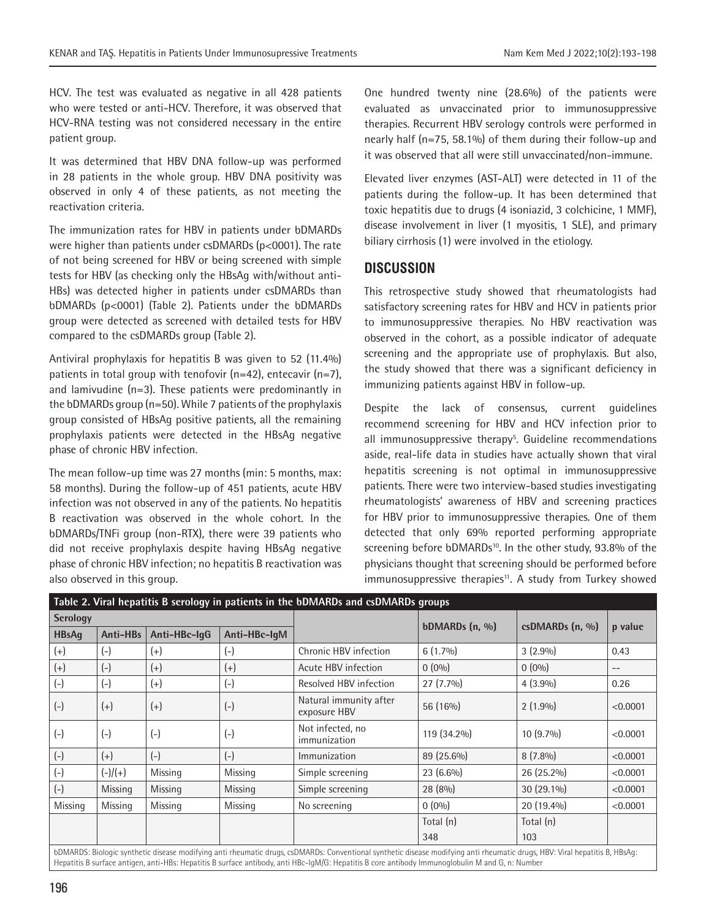HCV. The test was evaluated as negative in all 428 patients who were tested or anti-HCV. Therefore, it was observed that HCV-RNA testing was not considered necessary in the entire patient group.

It was determined that HBV DNA follow-up was performed in 28 patients in the whole group. HBV DNA positivity was observed in only 4 of these patients, as not meeting the reactivation criteria.

The immunization rates for HBV in patients under bDMARDs were higher than patients under csDMARDs (p<0001). The rate of not being screened for HBV or being screened with simple tests for HBV (as checking only the HBsAg with/without anti-HBs) was detected higher in patients under csDMARDs than bDMARDs (p<0001) (Table 2). Patients under the bDMARDs group were detected as screened with detailed tests for HBV compared to the csDMARDs group (Table 2).

Antiviral prophylaxis for hepatitis B was given to 52 (11.4%) patients in total group with tenofovir  $(n=42)$ , entecavir  $(n=7)$ , and lamivudine (n=3). These patients were predominantly in the bDMARDs group (n=50). While 7 patients of the prophylaxis group consisted of HBsAg positive patients, all the remaining prophylaxis patients were detected in the HBsAg negative phase of chronic HBV infection.

The mean follow-up time was 27 months (min: 5 months, max: 58 months). During the follow-up of 451 patients, acute HBV infection was not observed in any of the patients. No hepatitis B reactivation was observed in the whole cohort. In the bDMARDs/TNFi group (non-RTX), there were 39 patients who did not receive prophylaxis despite having HBsAg negative phase of chronic HBV infection; no hepatitis B reactivation was also observed in this group.

One hundred twenty nine (28.6%) of the patients were evaluated as unvaccinated prior to immunosuppressive therapies. Recurrent HBV serology controls were performed in nearly half (n=75, 58.1%) of them during their follow-up and it was observed that all were still unvaccinated/non-immune.

Elevated liver enzymes (AST-ALT) were detected in 11 of the patients during the follow-up. It has been determined that toxic hepatitis due to drugs (4 isoniazid, 3 colchicine, 1 MMF), disease involvement in liver (1 myositis, 1 SLE), and primary biliary cirrhosis (1) were involved in the etiology.

## **DISCUSSION**

This retrospective study showed that rheumatologists had satisfactory screening rates for HBV and HCV in patients prior to immunosuppressive therapies. No HBV reactivation was observed in the cohort, as a possible indicator of adequate screening and the appropriate use of prophylaxis. But also, the study showed that there was a significant deficiency in immunizing patients against HBV in follow-up.

Despite the lack of consensus, current guidelines recommend screening for HBV and HCV infection prior to all immunosuppressive therapy<sup>5</sup>. Guideline recommendations aside, real-life data in studies have actually shown that viral hepatitis screening is not optimal in immunosuppressive patients. There were two interview-based studies investigating rheumatologists' awareness of HBV and screening practices for HBV prior to immunosuppressive therapies. One of them detected that only 69% reported performing appropriate screening before bDMARDs<sup>10</sup>. In the other study, 93.8% of the physicians thought that screening should be performed before immunosuppressive therapies<sup>11</sup>. A study from Turkey showed

| Table 2. Viral hepatitis B serology in patients in the bDMARDs and csDMARDs groups                                                                                                                                                                                                                                              |           |              |              |                                        |                            |                       |                   |  |  |
|---------------------------------------------------------------------------------------------------------------------------------------------------------------------------------------------------------------------------------------------------------------------------------------------------------------------------------|-----------|--------------|--------------|----------------------------------------|----------------------------|-----------------------|-------------------|--|--|
| <b>Serology</b>                                                                                                                                                                                                                                                                                                                 |           |              |              |                                        |                            |                       |                   |  |  |
| <b>HBsAq</b>                                                                                                                                                                                                                                                                                                                    | Anti-HBs  | Anti-HBc-IqG | Anti-HBc-IqM |                                        | bDMARDs $(n, \frac{9}{0})$ | $csDMARDs$ (n, $\%$ ) | p value           |  |  |
| $(+)$                                                                                                                                                                                                                                                                                                                           | $(-)$     | $(+)$        | $(-)$        | Chronic HBV infection                  | $6(1.7\%)$                 | $3(2.9\%)$            | 0.43              |  |  |
| $(+)$                                                                                                                                                                                                                                                                                                                           | $(-)$     | $(+)$        | $(+)$        | Acute HBV infection                    | $0(0\%)$                   | $0(0\%)$              | $\qquad \qquad -$ |  |  |
| $(-)$                                                                                                                                                                                                                                                                                                                           | $(-)$     | $(+)$        | $(-)$        | Resolved HBV infection                 | $27(7.7\%)$                | $4(3.9\%)$            | 0.26              |  |  |
| $(-)$                                                                                                                                                                                                                                                                                                                           | $(+)$     | $(+)$        | $(-)$        | Natural immunity after<br>exposure HBV | 56 (16%)                   | $2(1.9\%)$            | < 0.0001          |  |  |
| $(-)$                                                                                                                                                                                                                                                                                                                           | $(-)$     | $(-)$        | $(-)$        | Not infected, no<br>immunization       | 119 (34.2%)                | $10(9.7\%)$           | < 0.0001          |  |  |
| $(-)$                                                                                                                                                                                                                                                                                                                           | $(+)$     | $(-)$        | $(-)$        | Immunization                           | 89 (25.6%)                 | $8(7.8\%)$            | < 0.0001          |  |  |
| $(-)$                                                                                                                                                                                                                                                                                                                           | $(-)/(+)$ | Missing      | Missing      | Simple screening                       | $23(6.6\%)$                | 26 (25.2%)            | < 0.0001          |  |  |
| $(-)$                                                                                                                                                                                                                                                                                                                           | Missing   | Missing      | Missing      | Simple screening                       | 28 (8%)                    | $30(29.1\%)$          | < 0.0001          |  |  |
| Missing                                                                                                                                                                                                                                                                                                                         | Missing   | Missing      | Missing      | No screening                           | $0(0\%)$                   | 20 (19.4%)            | < 0.0001          |  |  |
|                                                                                                                                                                                                                                                                                                                                 |           |              |              |                                        | Total (n)                  | Total (n)             |                   |  |  |
|                                                                                                                                                                                                                                                                                                                                 |           |              |              |                                        | 348                        | 103                   |                   |  |  |
| bDMARDS: Biologic synthetic disease modifying anti rheumatic drugs, csDMARDs: Conventional synthetic disease modifying anti rheumatic drugs, HBV: Viral hepatitis B, HBsAg:<br>Hepatitis B surface antigen, anti-HBs: Hepatitis B surface antibody, anti HBc-IgM/G: Hepatitis B core antibody Immunoglobulin M and G, n: Number |           |              |              |                                        |                            |                       |                   |  |  |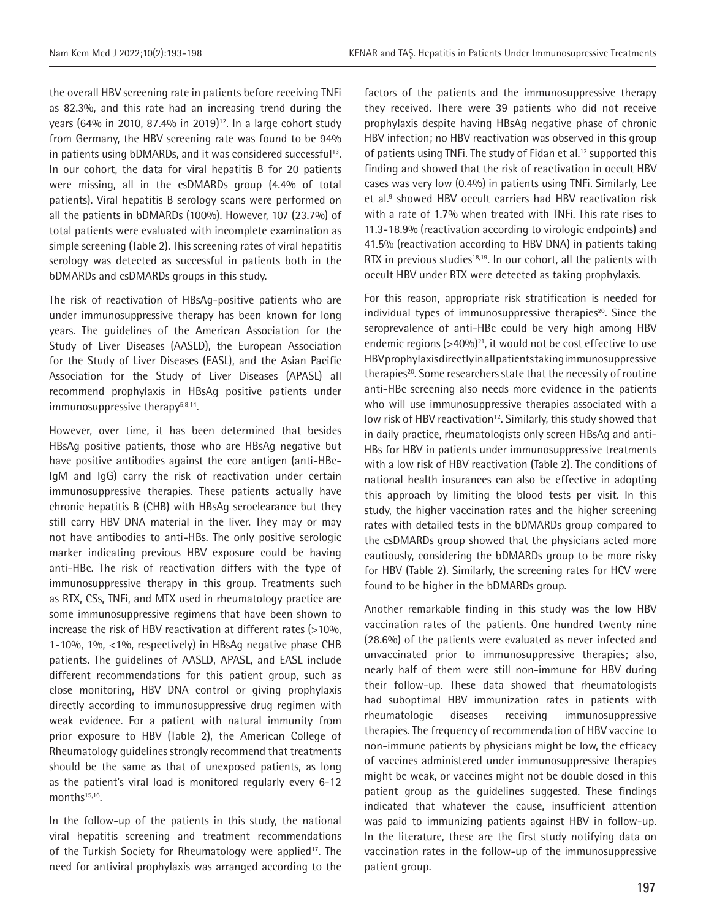the overall HBV screening rate in patients before receiving TNFi as 82.3%, and this rate had an increasing trend during the years (64% in 2010, 87.4% in 2019)<sup>12</sup>. In a large cohort study from Germany, the HBV screening rate was found to be 94% in patients using bDMARDs, and it was considered successful<sup>13</sup>. In our cohort, the data for viral hepatitis B for 20 patients were missing, all in the csDMARDs group (4.4% of total patients). Viral hepatitis B serology scans were performed on all the patients in bDMARDs (100%). However, 107 (23.7%) of total patients were evaluated with incomplete examination as simple screening (Table 2). This screening rates of viral hepatitis serology was detected as successful in patients both in the bDMARDs and csDMARDs groups in this study.

The risk of reactivation of HBsAg-positive patients who are under immunosuppressive therapy has been known for long years. The guidelines of the American Association for the Study of Liver Diseases (AASLD), the European Association for the Study of Liver Diseases (EASL), and the Asian Pacific Association for the Study of Liver Diseases (APASL) all recommend prophylaxis in HBsAg positive patients under immunosuppressive therapy<sup>5,8,14</sup>.

However, over time, it has been determined that besides HBsAg positive patients, those who are HBsAg negative but have positive antibodies against the core antigen (anti-HBc-IgM and IgG) carry the risk of reactivation under certain immunosuppressive therapies. These patients actually have chronic hepatitis B (CHB) with HBsAg seroclearance but they still carry HBV DNA material in the liver. They may or may not have antibodies to anti-HBs. The only positive serologic marker indicating previous HBV exposure could be having anti-HBc. The risk of reactivation differs with the type of immunosuppressive therapy in this group. Treatments such as RTX, CSs, TNFi, and MTX used in rheumatology practice are some immunosuppressive regimens that have been shown to increase the risk of HBV reactivation at different rates (>10%, 1-10%, 1%, <1%, respectively) in HBsAg negative phase CHB patients. The guidelines of AASLD, APASL, and EASL include different recommendations for this patient group, such as close monitoring, HBV DNA control or giving prophylaxis directly according to immunosuppressive drug regimen with weak evidence. For a patient with natural immunity from prior exposure to HBV (Table 2), the American College of Rheumatology guidelines strongly recommend that treatments should be the same as that of unexposed patients, as long as the patient's viral load is monitored regularly every 6-12 months<sup>15,16</sup>.

In the follow-up of the patients in this study, the national viral hepatitis screening and treatment recommendations of the Turkish Society for Rheumatology were applied<sup>17</sup>. The need for antiviral prophylaxis was arranged according to the

factors of the patients and the immunosuppressive therapy they received. There were 39 patients who did not receive prophylaxis despite having HBsAg negative phase of chronic HBV infection; no HBV reactivation was observed in this group of patients using TNFi. The study of Fidan et al.<sup>12</sup> supported this finding and showed that the risk of reactivation in occult HBV cases was very low (0.4%) in patients using TNFi. Similarly, Lee et al.<sup>9</sup> showed HBV occult carriers had HBV reactivation risk with a rate of 1.7% when treated with TNFi. This rate rises to 11.3-18.9% (reactivation according to virologic endpoints) and 41.5% (reactivation according to HBV DNA) in patients taking RTX in previous studies<sup>18,19</sup>. In our cohort, all the patients with occult HBV under RTX were detected as taking prophylaxis.

For this reason, appropriate risk stratification is needed for individual types of immunosuppressive therapies $20$ . Since the seroprevalence of anti-HBc could be very high among HBV endemic regions  $($ >40%)<sup>21</sup>, it would not be cost effective to use HBV prophylaxis directly in all patients taking immunosuppressive therapies<sup>20</sup>. Some researchers state that the necessity of routine anti-HBc screening also needs more evidence in the patients who will use immunosuppressive therapies associated with a low risk of HBV reactivation<sup>12</sup>. Similarly, this study showed that in daily practice, rheumatologists only screen HBsAg and anti-HBs for HBV in patients under immunosuppressive treatments with a low risk of HBV reactivation (Table 2). The conditions of national health insurances can also be effective in adopting this approach by limiting the blood tests per visit. In this study, the higher vaccination rates and the higher screening rates with detailed tests in the bDMARDs group compared to the csDMARDs group showed that the physicians acted more cautiously, considering the bDMARDs group to be more risky for HBV (Table 2). Similarly, the screening rates for HCV were found to be higher in the bDMARDs group.

Another remarkable finding in this study was the low HBV vaccination rates of the patients. One hundred twenty nine (28.6%) of the patients were evaluated as never infected and unvaccinated prior to immunosuppressive therapies; also, nearly half of them were still non-immune for HBV during their follow-up. These data showed that rheumatologists had suboptimal HBV immunization rates in patients with rheumatologic diseases receiving immunosuppressive therapies. The frequency of recommendation of HBV vaccine to non-immune patients by physicians might be low, the efficacy of vaccines administered under immunosuppressive therapies might be weak, or vaccines might not be double dosed in this patient group as the guidelines suggested. These findings indicated that whatever the cause, insufficient attention was paid to immunizing patients against HBV in follow-up. In the literature, these are the first study notifying data on vaccination rates in the follow-up of the immunosuppressive patient group.